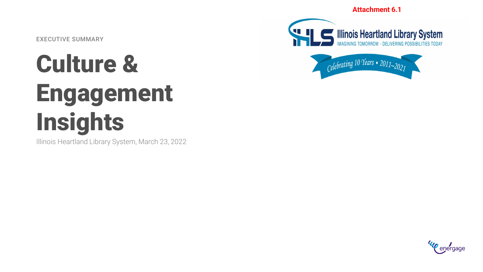**Attachment 6.1**

EXECUTIVE SUMMARY

## Culture & Engagement Insights

Illinois Heartland Library System, March 23, 2022





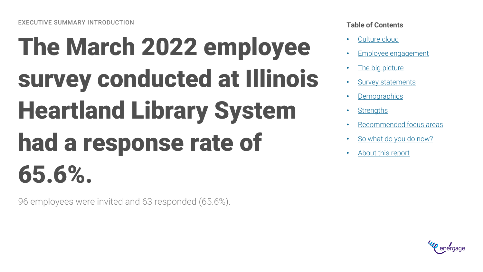# The March 2022 employee survey conducted at Illinois Heartland Library System had a response rate of 65.6%.

96 employees were invited and 63 responded (65.6%).

- [Culture cloud](#page-2-0)
- [Employee engagement](#page-3-0)
- [The big picture](#page-5-0)
- **[Survey statements](#page-9-0)**
- **[Demographics](#page-10-0)**
- **[Strengths](#page-13-0)**
- [Recommended focus areas](#page-14-0)
- [So what do you do now?](#page-16-0)
- [About this report](#page-17-0)

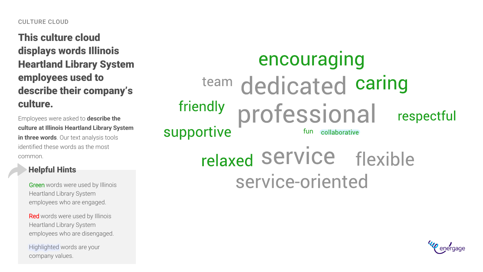#### <span id="page-2-0"></span>CULTURE CLOUD

This culture cloud displays words Illinois Heartland Library System employees used to describe their company's culture.

Employees were asked to **describe the culture at Illinois Heartland Library System in three words**. Our text analysis tools identified these words as the most common.

#### Helpful Hints

Green words were used by Illinois Heartland Library System employees who are engaged.

Red words were used by Illinois Heartland Library System employees who are disengaged.

Highlighted words are your company values.

encouraging team dedicated caring friendly professional respectful supportive fun collaborative relaxed Service flexible service-oriented

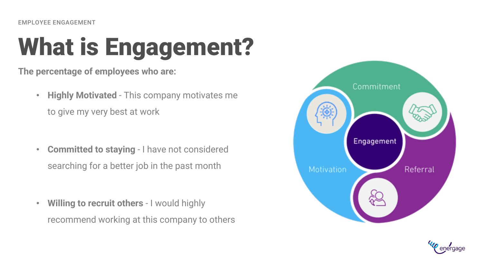## <span id="page-3-0"></span>What is Engagement?

**The percentage of employees who are:**

- **Highly Motivated**  This company motivates me to give my very best at work
- **Committed to staying**  I have not considered searching for a better job in the past month
- **Willing to recruit others**  I would highly recommend working at this company to others



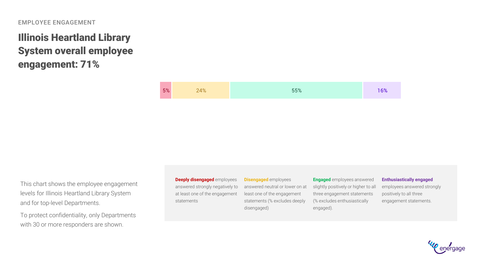#### EMPLOYEE ENGAGEMENT

### Illinois Heartland Library System overall employee engagement: 71%

| 5% | 24% | 55% | 16% |
|----|-----|-----|-----|
|----|-----|-----|-----|

This chart shows the employee engagement levels for Illinois Heartland Library System and for top-level Departments.

To protect confidentiality, only Departments with 30 or more responders are shown.

**Deeply disengaged** employees answered strongly negatively to at least one of the engagement statements

**Disengaged** employees answered neutral or lower on at least one of the engagement statements (% excludes deeply disengaged)

**Engaged** employees answered slightly positively or higher to all three engagement statements (% excludes enthusiastically engaged).

#### **Enthusiastically engaged**

employees answered strongly positively to all three engagement statements.

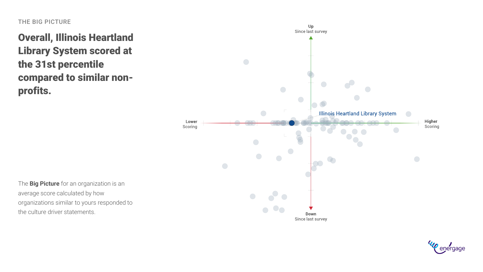#### <span id="page-5-0"></span>THE BIG PICTURE

Overall, Illinois Heartland Library System scored at the 31st percentile compared to similar nonprofits.

The **Big Picture** for an organization is an average score calculated by how organizations similar to yours responded to the culture driver statements.



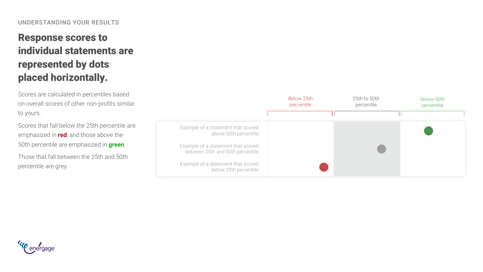#### UNDERSTANDING YOUR RESULTS

### Response scores to individual statements are represented by dots placed horizontally.

Scores are calculated in percentiles based on overall scores of other non -profits similar to yours.

Scores that fall below the 25th percentile are emphasized in **red**, and those above the 50th percentile are emphasized in **green**.

Those that fall between the 25th and 50th percentile are grey.

|                                                                        | Below 25th<br>percentile | 25th to 50th<br>percentile | Above 50th<br>percentile |
|------------------------------------------------------------------------|--------------------------|----------------------------|--------------------------|
|                                                                        |                          |                            |                          |
| Example of a statement that scored<br>above 50th percentile            |                          |                            |                          |
| Example of a statement that scored<br>between 25th and 50th percentile |                          |                            |                          |
| Example of a statement that scored<br>below 25th percentile            |                          |                            |                          |

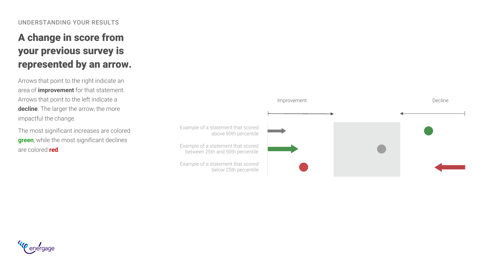#### UNDERSTANDING YOUR RESULTS

## A change in score from your previous survey is represented by an arrow.

Arrows that point to the right indicate an area of **improvement** for that statement. Arrows that point to the left indicate a **decline**. The larger the arrow, the more impactful the change.

The most significant increases are colored **green**, while the most significant declines are colored **red**



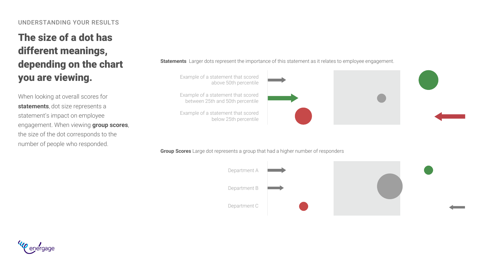#### UNDERSTANDING YOUR RESULTS

## The size of a dot has different meanings, depending on the chart you are viewing.

When looking at overall scores for **statements**, dot size represents a statement's impact on employee engagement. When viewing **group scores**, the size of the dot corresponds to the number of people who responded.

**Statements** Larger dots represent the importance of this statement as it relates to employee engagement.



**Group Scores** Large dot represents a group that had a higher number of responders



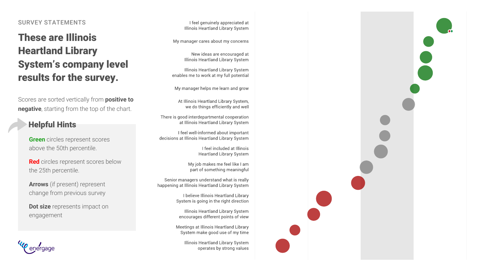#### <span id="page-9-0"></span>SURVEY STATEMENTS

## These are Illinois Heartland Library System's company level results for the survey.

Scores are sorted vertically from **positive to negative**, starting from the top of the chart.

#### Helpful Hints

**Green** circles represent scores above the 50th percentile.

**Red** circles represent scores below the 25th percentile.

**Arrows** (if present) represent change from previous survey

**Dot size** represents impact on engagement

I feel genuinely appreciated at **Illinois Heartland Library System** 

My manager cares about my concerns

New ideas are encouraged at **Illinois Heartland Library System** 

Illinois Heartland Library System enables me to work at my full potential

My manager helps me learn and grow

At Illinois Heartland Library System, we do things efficiently and well

There is good interdepartmental cooperation at Illinois Heartland Library System

I feel well-informed about important decisions at Illinois Heartland Library System

> I feel included at Illinois **Heartland Library System**

My job makes me feel like I am part of something meaningful

Senior managers understand what is really happening at Illinois Heartland Library System

> I believe Illinois Heartland Library System is going in the right direction

Illinois Heartland Library System encourages different points of view

Meetings at Illinois Heartland Library System make good use of my time

> Illinois Heartland Library System operates by strong values

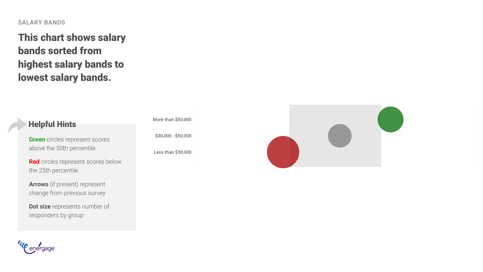#### <span id="page-10-0"></span>SALARY BANDS

This chart shows salary bands sorted from highest salary bands to lowest salary bands.

#### Helpful Hints

**Green** circles represent scores above the 50th percentile.

**Red** circles represent scores below the 25th percentile.

**Arrows** (if present) represent change from previous survey

**Dot size** represents number of responders by group

More than \$50,000

\$30,000 - \$50,000

Less than \$30,000



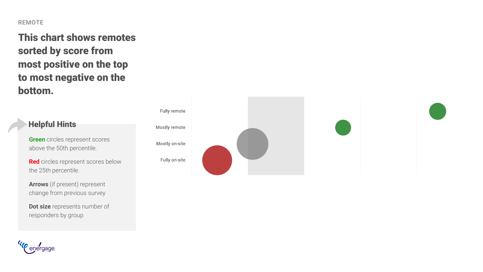#### REMOTE

This chart shows remotes sorted by score from most positive on the top to most negative on the bottom.



**Dot size** represents number of responders by group

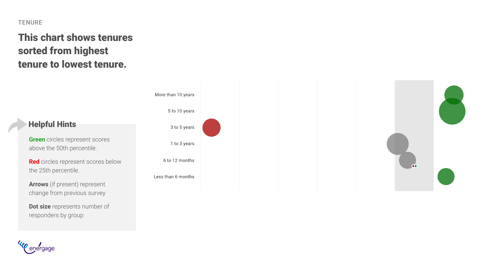#### **TENURE**

### This chart shows tenures sorted from highest tenure to lowest tenure.



nergage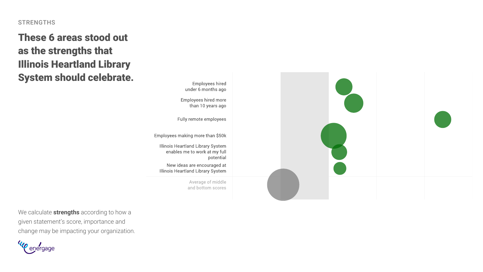#### <span id="page-13-0"></span>**STRENGTHS**

These 6 areas stood out as the strengths that Illinois Heartland Library System should celebrate.



We calculate **strengths** according to how a given statement's score, importance and change may be impacting your organization.

eraage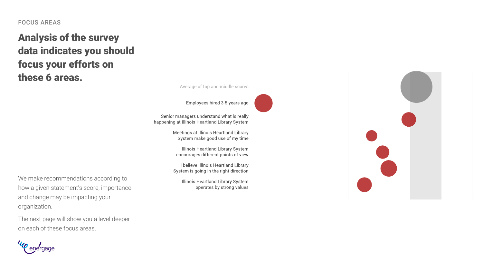#### <span id="page-14-0"></span>FOCUS AREAS

### Analysis of the survey data indicates you should focus your efforts on these 6 areas.

We make recommendations according to how a given statement's score, importance and change may be impacting your organization.

The next page will show you a level deeper on each of these focus areas.

Average of top and middle scores

Employees hired 3-5 years ago

Senior managers understand what is really happening at Illinois Heartland Library System

> Meetings at Illinois Heartland Library System make good use of my time

**Illinois Heartland Library System** encourages different points of view

I believe Illinois Heartland Library System is going in the right direction

**Illinois Heartland Library System** operates by strong values



eraaae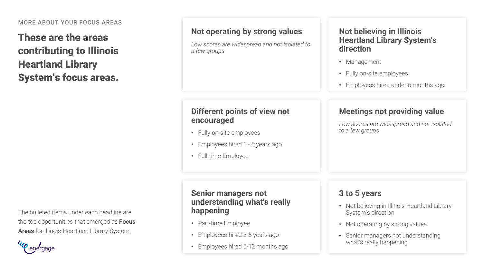#### MORE ABOUT YOUR FOCUS AREAS

### These are the areas contributing to Illinois Heartland Library System's focus areas.

The bulleted items under each headline are the top opportunities that emerged as **Focus Areas** for Illinois Heartland Library System.

ergage

#### **Not operating by strong values**

*Low scores are widespread and not isolated to a few groups*

### **Different points of view not encouraged**

- Fully on-site employees
- Employees hired 1 5 years ago
- Full-time Employee

#### **Not believing in Illinois Heartland Library System's direction**

- Management
- Fully on-site employees
- Employees hired under 6 months ago

### **Meetings not providing value**

*Low scores are widespread and not isolated to a few groups*

#### **Senior managers not understanding what's really happening**

- Part-time Employee
- Employees hired 3-5 years ago
- Employees hired 6-12 months ago

### **3 to 5 years**

- Not believing in Illinois Heartland Library System's direction
- Not operating by strong values
- Senior managers not understanding what's really happening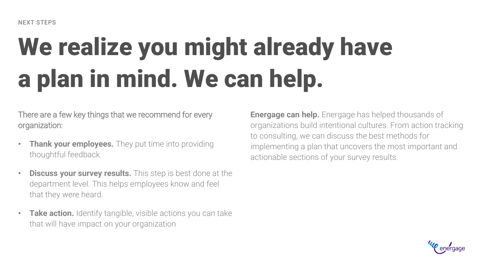## <span id="page-16-0"></span>We realize you might already have a plan in mind. We can help.

There are a few key things that we recommend for every organization:

- **Thank your employees.** They put time into providing thoughtful feedback.
- **Discuss your survey results.** This step is best done at the department level. This helps employees know and feel that they were heard.
- **Take action.** Identify tangible, visible actions you can take that will have impact on your organization

**Energage can help.** Energage has helped thousands of organizations build intentional cultures. From action tracking to consulting, we can discuss the best methods for implementing a plan that uncovers the most important and actionable sections of your survey results.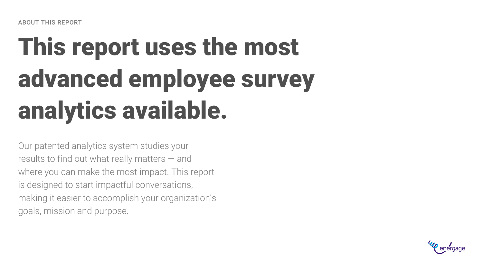## <span id="page-17-0"></span>This report uses the most advanced employee survey analytics available.

Our patented analytics system studies your results to find out what really matters — and where you can make the most impact. This report is designed to start impactful conversations, making it easier to accomplish your organization's goals, mission and purpose.

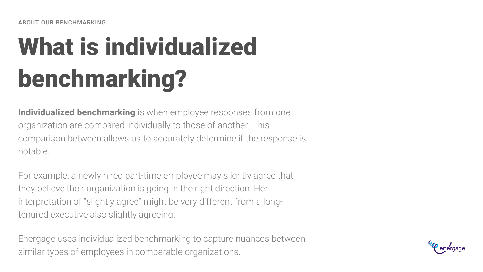## What is individualized benchmarking?

**Individualized benchmarking** is when employee responses from one organization are compared individually to those of another. This comparison between allows us to accurately determine if the response is notable.

For example, a newly hired part-time employee may slightly agree that they believe their organization is going in the right direction. Her interpretation of "slightly agree" might be very different from a longtenured executive also slightly agreeing.

Energage uses individualized benchmarking to capture nuances between similar types of employees in comparable organizations.